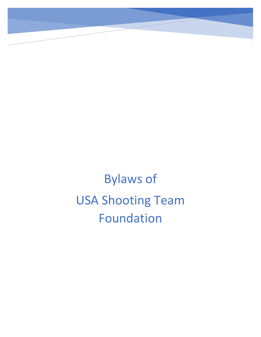Bylaws of USA Shooting Team Foundation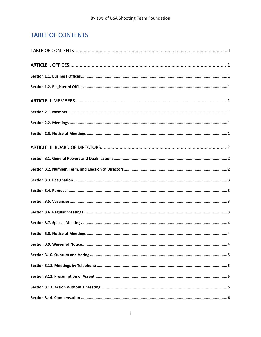# <span id="page-1-0"></span>**TABLE OF CONTENTS**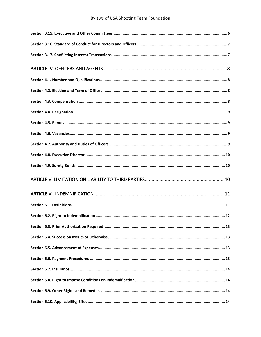# **Bylaws of USA Shooting Team Foundation**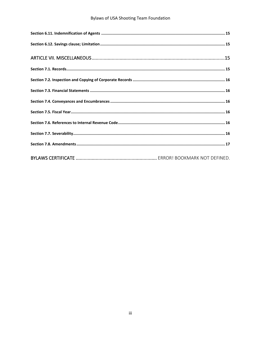# **Bylaws of USA Shooting Team Foundation**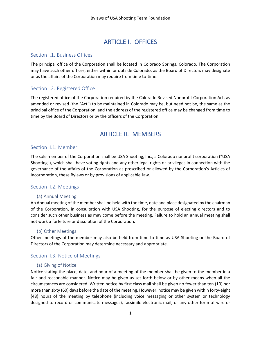# ARTICLE I. OFFICES

#### <span id="page-4-1"></span><span id="page-4-0"></span>Section I.1. Business Offices

The principal office of the Corporation shall be located in Colorado Springs, Colorado. The Corporation may have such other offices, either within or outside Colorado, as the Board of Directors may designate or as the affairs of the Corporation may require from time to time.

## <span id="page-4-2"></span>Section I.2. Registered Office

The registered office of the Corporation required by the Colorado Revised Nonprofit Corporation Act, as amended or revised (the "Act") to be maintained in Colorado may be, but need not be, the same as the principal office of the Corporation, and the address of the registered office may be changed from time to time by the Board of Directors or by the officers of the Corporation.

# ARTICLE II. MEMBERS

## <span id="page-4-4"></span><span id="page-4-3"></span>Section II.1. Member

The sole member of the Corporation shall be USA Shooting, Inc., a Colorado nonprofit corporation ("USA Shooting"), which shall have voting rights and any other legal rights or privileges in connection with the governance of the affairs of the Corporation as prescribed or allowed by the Corporation's Articles of Incorporation, these Bylaws or by provisions of applicable law.

## <span id="page-4-5"></span>Section II.2. Meetings

#### (a) Annual Meeting

An Annual meeting of the member shall be held with the time, date and place designated by the chairman of the Corporation, in consultation with USA Shooting, for the purpose of electing directors and to consider such other business as may come before the meeting. Failure to hold an annual meeting shall not work a forfeiture or dissolution of the Corporation.

#### (b) Other Meetings

Other meetings of the member may also be held from time to time as USA Shooting or the Board of Directors of the Corporation may determine necessary and appropriate.

## <span id="page-4-6"></span>Section II.3. Notice of Meetings

#### (a) Giving of Notice

Notice stating the place, date, and hour of a meeting of the member shall be given to the member in a fair and reasonable manner. Notice may be given as set forth below or by other means when all the circumstances are considered. Written notice by first class mail shall be given no fewer than ten (10) nor more than sixty (60) days before the date of the meeting. However, notice may be given within forty-eight (48) hours of the meeting by telephone (including voice messaging or other system or technology designed to record or communicate messages), facsimile electronic mail, or any other form of wire or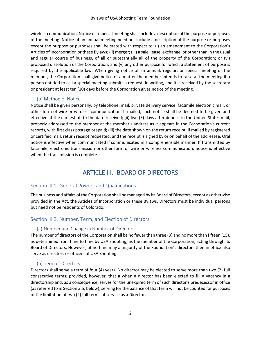wireless communication. Notice of a special meeting shall include a description of the purpose or purposes of the meeting. Notice of an annual meeting need not include a description of the purpose or purposes except the purpose or purposes shall be stated with respect to: (i) an amendment to the Corporation's Articles of Incorporation or these Bylaws; (ii) merger; (iii) a sale, lease, exchange, or other than in the usual and regular course of business, of all or substantially all of the property of the Corporation; or (vi) proposed dissolution of the Corporation; and (v) any other purpose for which a statement of purpose is required by the applicable law. When giving notice of an annual, regular, or special meeting of the member, the Corporation shall give notice of a matter the member intends to raise at the meeting if a person entitled to call a special meeting submits a request, in writing, and it is received by the secretary or president at least ten (10) days before the Corporation gives notice of the meeting.

#### (b) Method of Notice

Notice shall be given personally, by telephone, mail, private delivery service, facsimile electronic mail, or other form of wire or wireless communication. If mailed, such notice shall be deemed to be given and effective at the earliest of: (i) the date received; (ii) five (5) days after deposit in the United States mail, properly addressed to the member at the member's address as it appears in the Corporation's current records, with first class postage prepaid; (iii) the date shown on the return receipt, if mailed by registered or certified mail, return receipt requested, and the receipt is signed by or on behalf of the addressee. Oral notice is effective when communicated if communicated in a comprehensible manner. If transmitted by facsimile, electronic transmission or other form of wire or wireless communication, notice is effective when the transmission is complete.

# ARTICLE III. BOARD OF DIRECTORS

## <span id="page-5-1"></span><span id="page-5-0"></span>Section III.1. General Powers and Qualifications

The business and affairs of the Corporation shall be managed by its Board of Directors, except as otherwise provided in the Act, the Articles of Incorporation or these Bylaws. Directors must be individual persons but need not be residents of Colorado.

## <span id="page-5-2"></span>Section III.2. Number, Term, and Election of Directors

#### (a) Number and Change in Number of Directors

The number of directors of the Corporation shall be no fewer than three (3) and no more than fifteen (15), as determined from time to time by USA Shooting, as the member of the Corporation, acting through its Board of Directors. However, at no time may a majority of the Foundation's directors then in office also serve as directors or officers of USA Shooting.

## (b) Term of Directors

Directors shall serve a term of four (4) years. No director may be elected to serve more than two (2) full consecutive terms; provided, however, that a when a director has been elected to fill a vacancy in a directorship and, as a consequence, serves for the unexpired term of such director's predecessor in office (as referred to in Section 3.5, below), serving for the balance of that term will not be counted for purposes of the limitation of two (2) full terms of service as a Director.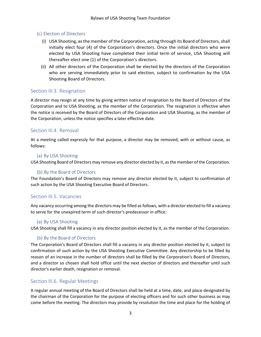#### (c) Election of Directors

- (i) USA Shooting, as the member of the Corporation, acting through its Board of Directors, shall initially elect four (4) of the Corporation's directors. Once the initial directors who were elected by USA Shooting have completed their initial term of service, USA Shooting will thereafter elect one (1) of the Corporation's directors.
- (ii) All other directors of the Corporation shall be elected by the directors of the Corporation who are serving immediately prior to said election, subject to confirmation by the USA Shooting Board of Directors.

## <span id="page-6-0"></span>Section III.3. Resignation

A director may resign at any time by giving written notice of resignation to the Board of Directors of the Corporation and to USA Shooting, as the member of the Corporation. The resignation is effective when the notice is received by the Board of Directors of the Corporation and USA Shooting, as the member of the Corporation, unless the notice specifies a later effective date.

#### <span id="page-6-1"></span>Section III.4. Removal

At a meeting called expressly for that purpose, a director may be removed, with or without cause, as follows:

#### (a) By USA Shooting

USA Shooting Board of Directors may remove any director elected by it, as the member of the Corporation.

#### (b) By the Board of Directors

The Foundation's Board of Directors may remove any director elected by it, subject to confirmation of such action by the USA Shooting Executive Board of Directors.

## <span id="page-6-2"></span>Section III.5. Vacancies

Any vacancy occurring among the directors may be filled as follows, with a director elected to fill a vacancy to serve for the unexpired term of such director's predecessor in office:

#### (a) By USA Shooting

USA Shooting shall fill a vacancy in any director position elected by it, as the member of the Corporation.

#### (b) By the Board of Directors

The Corporation's Board of Directors shall fill a vacancy in any director position elected by it, subject to confirmation of such action by the USA Shooting Executive Committee. Any directorship to be filled by reason of an increase in the number of directors shall be filled by the Corporation's Board of Directors, and a director so chosen shall hold office until the next election of directors and thereafter until such director's earlier death, resignation or removal.

#### <span id="page-6-3"></span>Section III.6. Regular Meetings

A regular annual meeting of the Board of Directors shall be held at a time, date, and place designated by the chairman of the Corporation for the purpose of electing officers and for such other business as may come before the meeting. The directors may provide by resolution the time and place for the holding of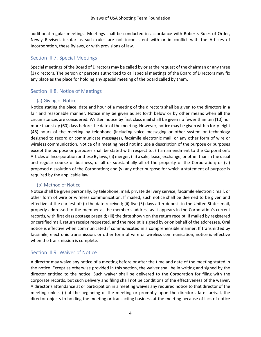additional regular meetings. Meetings shall be conducted in accordance with Roberts Rules of Order, Newly Revised, insofar as such rules are not inconsistent with or in conflict with the Articles of Incorporation, these Bylaws, or with provisions of law.

# <span id="page-7-0"></span>Section III.7. Special Meetings

Special meetings of the Board of Directors may be called by or at the request of the chairman or any three (3) directors. The person or persons authorized to call special meetings of the Board of Directors may fix any place as the place for holding any special meeting of the board called by them.

# <span id="page-7-1"></span>Section III.8. Notice of Meetings

#### (a) Giving of Notice

Notice stating the place, date and hour of a meeting of the directors shall be given to the directors in a fair and reasonable manner. Notice may be given as set forth below or by other means when all the circumstances are considered. Written notice by first class mail shall be given no fewer than ten (10) nor more than sixty (60) days before the date of the meeting. However, notice may be given within forty-eight (48) hours of the meeting by telephone (including voice messaging or other system or technology designed to record or communicate messages), facsimile electronic mail, or any other form of wire or wireless communication. Notice of a meeting need not include a description of the purpose or purposes except the purpose or purposes shall be stated with respect to: (i) an amendment to the Corporation's Articles of Incorporation or these Bylaws; (ii) merger; (iii) a sale, lease, exchange, or other than in the usual and regular course of business, of all or substantially all of the property of the Corporation; or (vi) proposed dissolution of the Corporation; and (v) any other purpose for which a statement of purpose is required by the applicable law.

## (b) Method of Notice

Notice shall be given personally, by telephone, mail, private delivery service, facsimile electronic mail, or other form of wire or wireless communication. If mailed, such notice shall be deemed to be given and effective at the earliest of: (i) the date received; (ii) five (5) days after deposit in the United States mail, properly addressed to the member at the member's address as it appears in the Corporation's current records, with first class postage prepaid; (iii) the date shown on the return receipt, if mailed by registered or certified mail, return receipt requested, and the receipt is signed by or on behalf of the addressee. Oral notice is effective when communicated if communicated in a comprehensible manner. If transmitted by facsimile, electronic transmission, or other form of wire or wireless communication, notice is effective when the transmission is complete.

## <span id="page-7-2"></span>Section III.9. Waiver of Notice

A director may waive any notice of a meeting before or after the time and date of the meeting stated in the notice. Except as otherwise provided in this section, the waiver shall be in writing and signed by the director entitled to the notice. Such waiver shall be delivered to the Corporation for filing with the corporate records, but such delivery and filing shall not be conditions of the effectiveness of the waiver. A director's attendance at or participation in a meeting waives any required notice to that director of the meeting unless (i) at the beginning of the meeting or promptly upon the director's later arrival, the director objects to holding the meeting or transacting business at the meeting because of lack of notice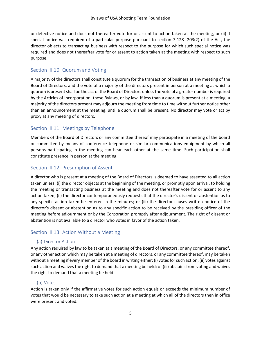or defective notice and does not thereafter vote for or assent to action taken at the meeting, or (ii) if special notice was required of a particular purpose pursuant to section 7-128- 203(2) of the Act, the director objects to transacting business with respect to the purpose for which such special notice was required and does not thereafter vote for or assent to action taken at the meeting with respect to such purpose.

# <span id="page-8-0"></span>Section III.10. Quorum and Voting

A majority of the directors shall constitute a quorum for the transaction of business at any meeting of the Board of Directors, and the vote of a majority of the directors present in person at a meeting at which a quorum is present shall be the act of the Board of Directors unless the vote of a greater number is required by the Articles of Incorporation, these Bylaws, or by law. If less than a quorum is present at a meeting, a majority of the directors present may adjourn the meeting from time to time without further notice other than an announcement at the meeting, until a quorum shall be present. No director may vote or act by proxy at any meeting of directors.

# <span id="page-8-1"></span>Section III.11. Meetings by Telephone

Members of the Board of Directors or any committee thereof may participate in a meeting of the board or committee by means of conference telephone or similar communications equipment by which all persons participating in the meeting can hear each other at the same time. Such participation shall constitute presence in person at the meeting.

# <span id="page-8-2"></span>Section III.12. Presumption of Assent

A director who is present at a meeting of the Board of Directors is deemed to have assented to all action taken unless: (i) the director objects at the beginning of the meeting, or promptly upon arrival, to holding the meeting or transacting business at the meeting and does not thereafter vote for or assent to any action taken; (ii) the director contemporaneously requests that the director's dissent or abstention as to any specific action taken be entered in the minutes; or (iii) the director causes written notice of the director's dissent or abstention as to any specific action to be received by the presiding officer of the meeting before adjournment or by the Corporation promptly after adjournment. The right of dissent or abstention is not available to a director who votes in favor of the action taken.

## <span id="page-8-3"></span>Section III.13. Action Without a Meeting

#### (a) Director Action

Any action required by law to be taken at a meeting of the Board of Directors, or any committee thereof, or any other action which may be taken at a meeting of directors, or any committee thereof, may be taken without a meeting if every member of the board in writing either: (i) votes for such action; (ii) votes against such action and waives the right to demand that a meeting be held; or (iii) abstains from voting and waives the right to demand that a meeting be held.

## (b) Votes

Action is taken only if the affirmative votes for such action equals or exceeds the minimum number of votes that would be necessary to take such action at a meeting at which all of the directors then in office were present and voted.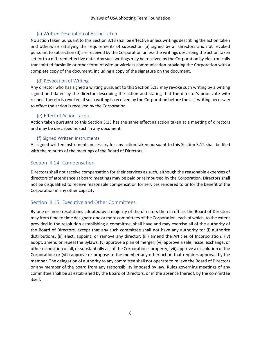#### (c) Written Description of Action Taken

No action taken pursuant to this Section 3.13 shall be effective unless writings describing the action taken and otherwise satisfying the requirements of subsection (a) signed by all directors and not revoked pursuant to subsection (d) are received by the Corporation unless the writings describing the action taken set forth a different effective date. Any such writings may be received by the Corporation by electronically transmitted facsimile or other form of wire or wireless communication providing the Corporation with a complete copy of the document, including a copy of the signature on the document.

# (d) Revocation of Writing

Any director who has signed a writing pursuant to this Section 3.13 may revoke such writing by a writing signed and dated by the director describing the action and stating that the director's prior vote with respect thereto is revoked, if such writing is received by the Corporation before the last writing necessary to effect the action is received by the Corporation.

#### (e) Effect of Action Taken

Action taken pursuant to this Section 3.13 has the same effect as action taken at a meeting of directors and may be described as such in any document.

## (f) Signed Written Instruments

All signed written instruments necessary for any action taken pursuant to this Section 3.12 shall be filed with the minutes of the meetings of the Board of Directors.

## <span id="page-9-0"></span>Section III.14. Compensation

Directors shall not receive compensation for their services as such, although the reasonable expenses of directors of attendance at board meetings may be paid or reimbursed by the Corporation. Directors shall not be disqualified to receive reasonable compensation for services rendered to or for the benefit of the Corporation in any other capacity.

## <span id="page-9-1"></span>Section III.15. Executive and Other Committees

By one or more resolutions adopted by a majority of the directors then in office, the Board of Directors may from time to time designate one or more committees of the Corporation, each of which, to the extent provided in the resolution establishing a committee, shall have and may exercise all of the authority of the Board of Directors, except that any such committee shall not have any authority to: (i) authorize distributions; (ii) elect, appoint, or remove any director; (iii) amend the Articles of Incorporation; (iv) adopt, amend or repeal the Bylaws; (v) approve a plan of merger; (vi) approve a sale, lease, exchange, or other disposition of all, or substantially all, of the Corporation's property; (vii) approve a dissolution of the Corporation; or (viii) approve or propose to the member any other action that requires approval by the member. The delegation of authority to any committee shall not operate to relieve the Board of Directors or any member of the board from any responsibility imposed by law. Rules governing meetings of any committee shall be as established by the Board of Directors, or in the absence thereof, by the committee itself.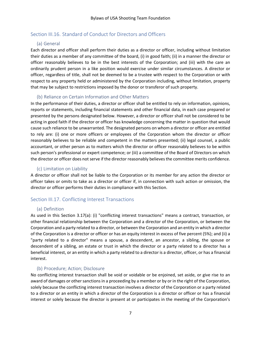# <span id="page-10-0"></span>Section III.16. Standard of Conduct for Directors and Officers

## (a) General

Each director and officer shall perform their duties as a director or officer, including without limitation their duties as a member of any committee of the board, (i) in good faith; (ii) in a manner the director or officer reasonably believes to be in the best interests of the Corporation; and (iii) with the care an ordinarily prudent person in a like position would exercise under similar circumstances. A director or officer, regardless of title, shall not be deemed to be a trustee with respect to the Corporation or with respect to any property held or administered by the Corporation including, without limitation, property that may be subject to restrictions imposed by the donor or transferor of such property.

#### (b) Reliance on Certain Information and Other Matters

In the performance of their duties, a director or officer shall be entitled to rely on information, opinions, reports or statements, including financial statements and other financial data, in each case prepared or presented by the persons designated below. However, a director or officer shall not be considered to be acting in good faith if the director or officer has knowledge concerning the matter in question that would cause such reliance to be unwarranted. The designated persons on whom a director or officer are entitled to rely are: (i) one or more officers or employees of the Corporation whom the director or officer reasonably believes to be reliable and competent in the matters presented; (ii) legal counsel, a public accountant, or other person as to matters which the director or officer reasonably believes to be within such person's professional or expert competence; or (iii) a committee of the Board of Directors on which the director or officer does not serve if the director reasonably believes the committee merits confidence.

#### (c) Limitation on Liability

A director or officer shall not be liable to the Corporation or its member for any action the director or officer takes or omits to take as a director or officer if, in connection with such action or omission, the director or officer performs their duties in compliance with this Section.

## <span id="page-10-1"></span>Section III.17. Conflicting Interest Transactions

## (a) Definition

As used in this Section 3.17(a): (i) "conflicting interest transactions" means a contract, transaction, or other financial relationship between the Corporation and a director of the Corporation, or between the Corporation and a party related to a director, or between the Corporation and an entity in which a director of the Corporation is a director or officer or has an equity interest in excess of five percent (5%); and (ii) a "party related to a director" means a spouse, a descendent, an ancestor, a sibling, the spouse or descendent of a sibling, an estate or trust in which the director or a party related to a director has a beneficial interest, or an entity in which a party related to a director is a director, officer, or has a financial interest.

## (b) Procedure; Action; Disclosure

No conflicting interest transaction shall be void or voidable or be enjoined, set aside, or give rise to an award of damages or other sanctions in a proceeding by a member or by or in the right of the Corporation, solely because the conflicting interest transaction involves a director of the Corporation or a party related to a director or an entity in which a director of the Corporation is a director or officer or has a financial interest or solely because the director is present at or participates in the meeting of the Corporation's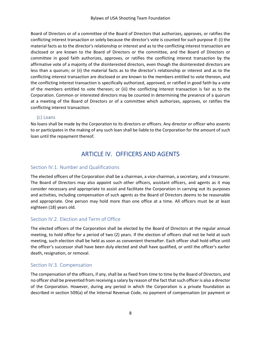Board of Directors or of a committee of the Board of Directors that authorizes, approves, or ratifies the conflicting interest transaction or solely because the director's vote is counted for such purpose if: (i) the material facts as to the director's relationship or interest and as to the conflicting interest transaction are disclosed or are known to the Board of Directors or the committee, and the Board of Directors or committee in good faith authorizes, approves, or ratifies the conflicting interest transaction by the affirmative vote of a majority of the disinterested directors, even though the disinterested directors are less than a quorum; or (ii) the material facts as to the director's relationship or interest and as to the conflicting interest transaction are disclosed or are known to the members entitled to vote thereon, and the conflicting interest transaction is specifically authorized, approved, or ratified in good faith by a vote of the members entitled to vote thereon; or (iii) the conflicting interest transaction is fair as to the Corporation. Common or interested directors may be counted in determining the presence of a quorum at a meeting of the Board of Directors or of a committee which authorizes, approves, or ratifies the conflicting interest transaction.

#### (c) Loans

<span id="page-11-0"></span>No loans shall be made by the Corporation to its directors or officers. Any director or officer who assents to or participates in the making of any such loan shall be liable to the Corporation for the amount of such loan until the repayment thereof.

# ARTICLE IV. OFFICERS AND AGENTS

#### <span id="page-11-1"></span>Section IV.1. Number and Qualifications

The elected officers of the Corporation shall be a chairman, a vice-chairman, a secretary, and a treasurer. The Board of Directors may also appoint such other officers, assistant officers, and agents as it may consider necessary and appropriate to assist and facilitate the Corporation in carrying out its purposes and activities, including compensation of such agents as the Board of Directors deems to be reasonable and appropriate. One person may hold more than one office at a time. All officers must be at least eighteen (18) years old.

#### <span id="page-11-2"></span>Section IV.2. Election and Term of Office

The elected officers of the Corporation shall be elected by the Board of Directors at the regular annual meeting, to hold office for a period of two (2) years. If the election of officers shall not be held at such meeting, such election shall be held as soon as convenient thereafter. Each officer shall hold office until the officer's successor shall have been duly elected and shall have qualified, or until the officer's earlier death, resignation, or removal.

#### <span id="page-11-3"></span>Section IV.3. Compensation

The compensation of the officers, if any, shall be as fixed from time to time by the Board of Directors, and no officer shall be prevented from receiving a salary by reason of the fact that such officer is also a director of the Corporation. However, during any period in which the Corporation is a private foundation as described in section 509(a) of the Internal Revenue Code, no payment of compensation (or payment or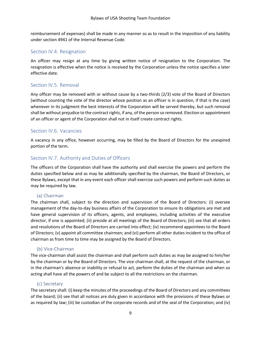reimbursement of expenses) shall be made in any manner so as to result in the imposition of any liability under section 4941 of the Internal Revenue Code.

#### <span id="page-12-0"></span>Section IV.4. Resignation

An officer may resign at any time by giving written notice of resignation to the Corporation. The resignation is effective when the notice is received by the Corporation unless the notice specifies a later effective date.

# <span id="page-12-1"></span>Section IV.5. Removal

Any officer may be removed with or without cause by a two-thirds (2/3) vote of the Board of Directors (without counting the vote of the director whose position as an officer is in question, if that is the case) whenever in its judgment the best interests of the Corporation will be served thereby, but such removal shall be without prejudice to the contract rights, if any, of the person so removed. Election or appointment of an officer or agent of the Corporation shall not in itself create contract rights.

## <span id="page-12-2"></span>Section IV.6. Vacancies

A vacancy in any office, however occurring, may be filled by the Board of Directors for the unexpired portion of the term.

# <span id="page-12-3"></span>Section IV.7. Authority and Duties of Officers

The officers of the Corporation shall have the authority and shall exercise the powers and perform the duties specified below and as may be additionally specified by the chairman, the Board of Directors, or these Bylaws, except that in any event each officer shall exercise such powers and perform such duties as may be required by law.

#### (a) Chairman

The chairman shall, subject to the direction and supervision of the Board of Directors: (i) oversee management of the day-to-day business affairs of the Corporation to ensure its obligations are met and have general supervision of its officers, agents, and employees, including activities of the executive director, if one is appointed; (ii) preside at all meetings of the Board of Directors; (iii) see that all orders and resolutions of the Board of Directors are carried into effect; (iv) recommend appointees to the Board of Directors; (v) appoint all committee chairmen; and (vi) perform all other duties incident to the office of chairman as from time to time may be assigned by the Board of Directors.

#### (b) Vice-Chairman

The vice-chairman shall assist the chairman and shall perform such duties as may be assigned to him/her by the chairman or by the Board of Directors. The vice-chairman shall, at the request of the chairman, or in the chairman's absence or inability or refusal to act, perform the duties of the chairman and when so acting shall have all the powers of and be subject to all the restrictions on the chairman.

## (c) Secretary

The secretary shall: (i) keep the minutes of the proceedings of the Board of Directors and any committees of the board; (ii) see that all notices are duly given in accordance with the provisions of these Bylaws or as required by law; (iii) be custodian of the corporate records and of the seal of the Corporation; and (iv)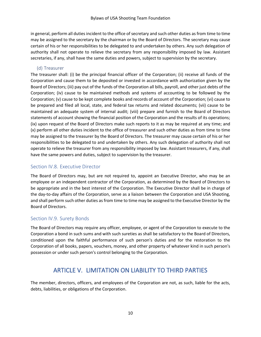in general, perform all duties incident to the office of secretary and such other duties as from time to time may be assigned to the secretary by the chairman or by the Board of Directors. The secretary may cause certain of his or her responsibilities to be delegated to and undertaken by others. Any such delegation of authority shall not operate to relieve the secretary from any responsibility imposed by law. Assistant secretaries, if any, shall have the same duties and powers, subject to supervision by the secretary.

#### (d) Treasurer

The treasurer shall: (i) be the principal financial officer of the Corporation; (ii) receive all funds of the Corporation and cause them to be deposited or invested in accordance with authorization given by the Board of Directors; (iii) pay out of the funds of the Corporation all bills, payroll, and other just debts of the Corporation; (iv) cause to be maintained methods and systems of accounting to be followed by the Corporation; (v) cause to be kept complete books and records of account of the Corporation; (vi) cause to be prepared and filed all local, state, and federal tax returns and related documents; (vii) cause to be maintained an adequate system of internal audit; (viii) prepare and furnish to the Board of Directors statements of account showing the financial position of the Corporation and the results of its operations; (ix) upon request of the Board of Directors make such reports to it as may be required at any time; and (x) perform all other duties incident to the office of treasurer and such other duties as from time to time may be assigned to the treasurer by the Board of Directors. The treasurer may cause certain of his or her responsibilities to be delegated to and undertaken by others. Any such delegation of authority shall not operate to relieve the treasurer from any responsibility imposed by law. Assistant treasurers, if any, shall have the same powers and duties, subject to supervision by the treasurer.

# <span id="page-13-0"></span>Section IV.8. Executive Director

The Board of Directors may, but are not required to, appoint an Executive Director, who may be an employee or an independent contractor of the Corporation, as determined by the Board of Directors to be appropriate and in the best interest of the Corporation. The Executive Director shall be in charge of the day-to-day affairs of the Corporation, serve as a liaison between the Corporation and USA Shooting, and shall perform such other duties as from time to time may be assigned to the Executive Director by the Board of Directors.

## <span id="page-13-1"></span>Section IV.9. Surety Bonds

The Board of Directors may require any officer, employee, or agent of the Corporation to execute to the Corporation a bond in such sums and with such sureties as shall be satisfactory to the Board of Directors, conditioned upon the faithful performance of such person's duties and for the restoration to the Corporation of all books, papers, vouchers, money, and other property of whatever kind in such person's possession or under such person's control belonging to the Corporation.

# ARTICLE V. LIMITATION ON LIABILITY TO THIRD PARTIES

<span id="page-13-2"></span>The member, directors, officers, and employees of the Corporation are not, as such, liable for the acts, debts, liabilities, or obligations of the Corporation.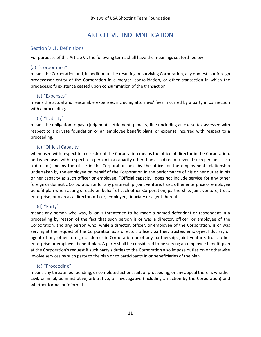# ARTICLE VI. INDEMNIFICATION

#### <span id="page-14-1"></span><span id="page-14-0"></span>Section VI.1. Definitions

For purposes of this Article VI, the following terms shall have the meanings set forth below:

#### (a) "Corporation"

means the Corporation and, in addition to the resulting or surviving Corporation, any domestic or foreign predecessor entity of the Corporation in a merger, consolidation, or other transaction in which the predecessor's existence ceased upon consummation of the transaction.

## (a) "Expenses"

means the actual and reasonable expenses, including attorneys' fees, incurred by a party in connection with a proceeding.

## (b) "Liability"

means the obligation to pay a judgment, settlement, penalty, fine (including an excise tax assessed with respect to a private foundation or an employee benefit plan), or expense incurred with respect to a proceeding.

## (c) "Official Capacity"

when used with respect to a director of the Corporation means the office of director in the Corporation, and when used with respect to a person in a capacity other than as a director (even if such person is also a director) means the office in the Corporation held by the officer or the employment relationship undertaken by the employee on behalf of the Corporation in the performance of his or her duties in his or her capacity as such officer or employee. "Official capacity" does not include service for any other foreign or domestic Corporation or for any partnership, joint venture, trust, other enterprise or employee benefit plan when acting directly on behalf of such other Corporation, partnership, joint venture, trust, enterprise, or plan as a director, officer, employee, fiduciary or agent thereof.

## (d) "Party"

means any person who was, is, or is threatened to be made a named defendant or respondent in a proceeding by reason of the fact that such person is or was a director, officer, or employee of the Corporation, and any person who, while a director, officer, or employee of the Corporation, is or was serving at the request of the Corporation as a director, officer, partner, trustee, employee, fiduciary or agent of any other foreign or domestic Corporation or of any partnership, joint venture, trust, other enterprise or employee benefit plan. A party shall be considered to be serving an employee benefit plan at the Corporation's request if such party's duties to the Corporation also impose duties on or otherwise involve services by such party to the plan or to participants in or beneficiaries of the plan.

#### (e) "Proceeding"

means any threatened, pending, or completed action, suit, or proceeding, or any appeal therein, whether civil, criminal, administrative, arbitrative, or investigative (including an action by the Corporation) and whether formal or informal.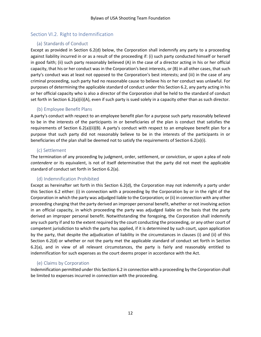# <span id="page-15-0"></span>Section VI.2. Right to Indemnification

#### (a) Standards of Conduct

Except as provided in Section 6.2(d) below, the Corporation shall indemnify any party to a proceeding against liability incurred in or as a result of the proceeding if: (i) such party conducted himself or herself in good faith; (ii) such party reasonably believed (A) in the case of a director acting in his or her official capacity, that his or her conduct was in the Corporation's best interests, or (B) in all other cases, that such party's conduct was at least not opposed to the Corporation's best interests; and (iii) in the case of any criminal proceeding, such party had no reasonable cause to believe his or her conduct was unlawful. For purposes of determining the applicable standard of conduct under this Section 6.2, any party acting in his or her official capacity who is also a director of the Corporation shall be held to the standard of conduct set forth in Section 6.2(a)(ii)(A), even if such party is sued solely in a capacity other than as such director.

#### (b) Employee Benefit Plans

A party's conduct with respect to an employee benefit plan for a purpose such party reasonably believed to be in the interests of the participants in or beneficiaries of the plan is conduct that satisfies the requirements of Section 6.2(a)(ii)(B). A party's conduct with respect to an employee benefit plan for a purpose that such party did not reasonably believe to be in the interests of the participants in or beneficiaries of the plan shall be deemed not to satisfy the requirements of Section 6.2(a)(i).

#### (c) Settlement

The termination of any proceeding by judgment, order, settlement, or conviction, or upon a plea of *nolo contendere* or its equivalent, is not of itself determinative that the party did not meet the applicable standard of conduct set forth in Section 6.2(a).

## (d) Indemnification Prohibited

Except as hereinafter set forth in this Section 6.2(d), the Corporation may not indemnify a party under this Section 6.2 either: (i) in connection with a proceeding by the Corporation by or in the right of the Corporation in which the party was adjudged liable to the Corporation; or (ii) in connection with any other proceeding charging that the party derived an improper personal benefit, whether or not involving action in an official capacity, in which proceeding the party was adjudged liable on the basis that the party derived an improper personal benefit. Notwithstanding the foregoing, the Corporation shall indemnify any such party if and to the extent required by the court conducting the proceeding, or any other court of competent jurisdiction to which the party has applied, if it is determined by such court, upon application by the party, that despite the adjudication of liability in the circumstances in clauses (i) and (ii) of this Section 6.2(d) or whether or not the party met the applicable standard of conduct set forth in Section 6.2(a), and in view of all relevant circumstances, the party is fairly and reasonably entitled to indemnification for such expenses as the court deems proper in accordance with the Act.

## (e) Claims by Corporation

Indemnification permitted under this Section 6.2 in connection with a proceeding by the Corporation shall be limited to expenses incurred in connection with the proceeding.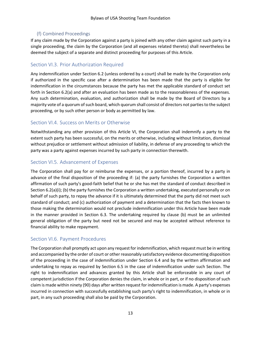## (f) Combined Proceedings

If any claim made by the Corporation against a party is joined with any other claim against such party in a single proceeding, the claim by the Corporation (and all expenses related thereto) shall nevertheless be deemed the subject of a separate and distinct proceeding for purposes of this Article.

# <span id="page-16-0"></span>Section VI.3. Prior Authorization Required

Any indemnification under Section 6.2 (unless ordered by a court) shall be made by the Corporation only if authorized in the specific case after a determination has been made that the party is eligible for indemnification in the circumstances because the party has met the applicable standard of conduct set forth in Section 6.2(a) and after an evaluation has been made as to the reasonableness of the expenses. Any such determination, evaluation, and authorization shall be made by the Board of Directors by a majority vote of a quorum of such board, which quorum shall consist of directors not parties to the subject proceeding, or by such other person or body as permitted by law.

# <span id="page-16-1"></span>Section VI.4. Success on Merits or Otherwise

Notwithstanding any other provision of this Article VI, the Corporation shall indemnify a party to the extent such party has been successful, on the merits or otherwise, including without limitation, dismissal without prejudice or settlement without admission of liability, in defense of any proceeding to which the party was a party against expenses incurred by such party in connection therewith.

# <span id="page-16-2"></span>Section VI.5. Advancement of Expenses

The Corporation shall pay for or reimburse the expenses, or a portion thereof, incurred by a party in advance of the final disposition of the proceeding if: (a) the party furnishes the Corporation a written affirmation of such party's good-faith belief that he or she has met the standard of conduct described in Section 6.2(a)(i); (b) the party furnishes the Corporation a written undertaking, executed personally or on behalf of such party, to repay the advance if it is ultimately determined that the party did not meet such standard of conduct; and (c) authorization of payment and a determination that the facts then known to those making the determination would not preclude indemnification under this Article have been made in the manner provided in Section 6.3. The undertaking required by clause (b) must be an unlimited general obligation of the party but need not be secured and may be accepted without reference to financial ability to make repayment.

# <span id="page-16-3"></span>Section VI.6. Payment Procedures

The Corporation shall promptly act upon any request for indemnification, which request must be in writing and accompanied by the order of court or other reasonably satisfactory evidence documenting disposition of the proceeding in the case of indemnification under Section 6.4 and by the written affirmation and undertaking to repay as required by Section 6.5 in the case of indemnification under such Section. The right to indemnification and advances granted by this Article shall be enforceable in any court of competent jurisdiction if the Corporation denies the claim, in whole or in part, or if no disposition of such claim is made within ninety (90) days after written request for indemnification is made. A party's expenses incurred in connection with successfully establishing such party's right to indemnification, in whole or in part, in any such proceeding shall also be paid by the Corporation.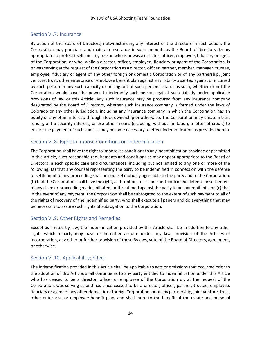## <span id="page-17-0"></span>Section VI.7. Insurance

By action of the Board of Directors, notwithstanding any interest of the directors in such action, the Corporation may purchase and maintain insurance in such amounts as the Board of Directors deems appropriate to protect itself and any person who is or was a director, officer, employee, fiduciary or agent of the Corporation, or who, while a director, officer, employee, fiduciary or agent of the Corporation, is or was serving at the request of the Corporation as a director, officer, partner, member, manager, trustee, employee, fiduciary or agent of any other foreign or domestic Corporation or of any partnership, joint venture, trust, other enterprise or employee benefit plan against any liability asserted against or incurred by such person in any such capacity or arising out of such person's status as such, whether or not the Corporation would have the power to indemnify such person against such liability under applicable provisions of law or this Article. Any such insurance may be procured from any insurance company designated by the Board of Directors, whether such insurance company is formed under the laws of Colorado or any other jurisdiction, including any insurance company in which the Corporation has an equity or any other interest, through stock ownership or otherwise. The Corporation may create a trust fund, grant a security interest, or use other means (including, without limitation, a letter of credit) to ensure the payment of such sums as may become necessary to effect indemnification as provided herein.

# <span id="page-17-1"></span>Section VI.8. Right to Impose Conditions on Indemnification

The Corporation shall have the right to impose, as conditions to any indemnification provided or permitted in this Article, such reasonable requirements and conditions as may appear appropriate to the Board of Directors in each specific case and circumstances, including but not limited to any one or more of the following: (a) that any counsel representing the party to be indemnified in connection with the defense or settlement of any proceeding shall be counsel mutually agreeable to the party and to the Corporation; (b) that the Corporation shall have the right, at its option, to assume and control the defense or settlement of any claim or proceeding made, initiated, or threatened against the party to be indemnified; and (c) that in the event of any payment, the Corporation shall be subrogated to the extent of such payment to all of the rights of recovery of the indemnified party, who shall execute all papers and do everything that may be necessary to assure such rights of subrogation to the Corporation.

## <span id="page-17-2"></span>Section VI.9. Other Rights and Remedies

Except as limited by law, the indemnification provided by this Article shall be in addition to any other rights which a party may have or hereafter acquire under any law, provision of the Articles of Incorporation, any other or further provision of these Bylaws, vote of the Board of Directors, agreement, or otherwise.

## <span id="page-17-3"></span>Section VI.10. Applicability; Effect

The indemnification provided in this Article shall be applicable to acts or omissions that occurred prior to the adoption of this Article, shall continue as to any party entitled to indemnification under this Article who has ceased to be a director, officer or employee of the Corporation or, at the request of the Corporation, was serving as and has since ceased to be a director, officer, partner, trustee, employee, fiduciary or agent of any other domestic or foreign Corporation, or of any partnership, joint venture, trust, other enterprise or employee benefit plan, and shall inure to the benefit of the estate and personal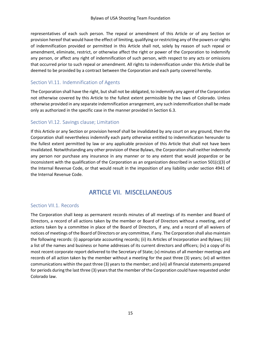representatives of each such person. The repeal or amendment of this Article or of any Section or provision hereof that would have the effect of limiting, qualifying or restricting any of the powers or rights of indemnification provided or permitted in this Article shall not, solely by reason of such repeal or amendment, eliminate, restrict, or otherwise affect the right or power of the Corporation to indemnify any person, or affect any right of indemnification of such person, with respect to any acts or omissions that occurred prior to such repeal or amendment. All rights to indemnification under this Article shall be deemed to be provided by a contract between the Corporation and each party covered hereby.

# <span id="page-18-0"></span>Section VI.11. Indemnification of Agents

The Corporation shall have the right, but shall not be obligated, to indemnify any agent of the Corporation not otherwise covered by this Article to the fullest extent permissible by the laws of Colorado. Unless otherwise provided in any separate indemnification arrangement, any such indemnification shall be made only as authorized in the specific case in the manner provided in Section 6.3.

## <span id="page-18-1"></span>Section VI.12. Savings clause; Limitation

If this Article or any Section or provision hereof shall be invalidated by any court on any ground, then the Corporation shall nevertheless indemnify each party otherwise entitled to indemnification hereunder to the fullest extent permitted by law or any applicable provision of this Article that shall not have been invalidated. Notwithstanding any other provision of these Bylaws, the Corporation shall neither indemnify any person nor purchase any insurance in any manner or to any extent that would jeopardize or be inconsistent with the qualification of the Corporation as an organization described in section 501(c)(3) of the Internal Revenue Code, or that would result in the imposition of any liability under section 4941 of the Internal Revenue Code.

# ARTICLE VII. MISCELLANEOUS

## <span id="page-18-3"></span><span id="page-18-2"></span>Section VII.1. Records

The Corporation shall keep as permanent records minutes of all meetings of its member and Board of Directors, a record of all actions taken by the member or Board of Directors without a meeting, and of actions taken by a committee in place of the Board of Directors, if any, and a record of all waivers of notices of meetings of the Board of Directors or any committee, if any. The Corporation shall also maintain the following records: (i) appropriate accounting records; (ii) its Articles of Incorporation and Bylaws; (iii) a list of the names and business or home addresses of its current directors and officers; (iv) a copy of its most recent corporate report delivered to the Secretary of State; (v) minutes of all member meetings and records of all action taken by the member without a meeting for the past three (3) years; (vi) all written communications within the past three (3) years to the member; and (vii) all financial statements prepared for periods during the last three (3) years that the member of the Corporation could have requested under Colorado law.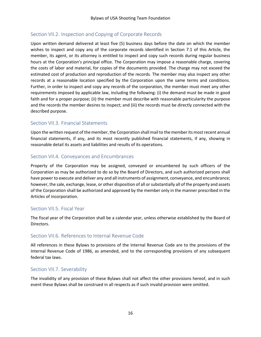# <span id="page-19-0"></span>Section VII.2. Inspection and Copying of Corporate Records

Upon written demand delivered at least five (5) business days before the date on which the member wishes to inspect and copy any of the corporate records identified in Section 7.1 of this Article, the member, its agent, or its attorney is entitled to inspect and copy such records during regular business hours at the Corporation's principal office. The Corporation may impose a reasonable charge, covering the costs of labor and material, for copies of the documents provided. The charge may not exceed the estimated cost of production and reproduction of the records. The member may also inspect any other records at a reasonable location specified by the Corporation upon the same terms and conditions. Further, in order to inspect and copy any records of the corporation, the member must meet any other requirements imposed by applicable law, including the following: (i) the demand must be made in good faith and for a proper purpose; (ii) the member must describe with reasonable particularity the purpose and the records the member desires to inspect; and (iii) the records must be directly connected with the described purpose.

# <span id="page-19-1"></span>Section VII.3. Financial Statements

Upon the written request of the member, the Corporation shall mail to the member its most recent annual financial statements, if any, and its most recently published financial statements, if any, showing in reasonable detail its assets and liabilities and results of its operations.

## <span id="page-19-2"></span>Section VII.4. Conveyances and Encumbrances

Property of the Corporation may be assigned, conveyed or encumbered by such officers of the Corporation as may be authorized to do so by the Board of Directors, and such authorized persons shall have power to execute and deliver any and all instruments of assignment, conveyance, and encumbrance; however, the sale, exchange, lease, or other disposition of all or substantially all of the property and assets of the Corporation shall be authorized and approved by the member only in the manner prescribed in the Articles of incorporation.

## <span id="page-19-3"></span>Section VII.5. Fiscal Year

The fiscal year of the Corporation shall be a calendar year, unless otherwise established by the Board of Directors.

#### <span id="page-19-4"></span>Section VII.6. References to Internal Revenue Code

All references in these Bylaws to provisions of the Internal Revenue Code are to the provisions of the Internal Revenue Code of 1986, as amended, and to the corresponding provisions of any subsequent federal tax laws.

## <span id="page-19-5"></span>Section VII.7. Severability

The invalidity of any provision of these Bylaws shall not affect the other provisions hereof, and in such event these Bylaws shall be construed in all respects as if such invalid provision were omitted.